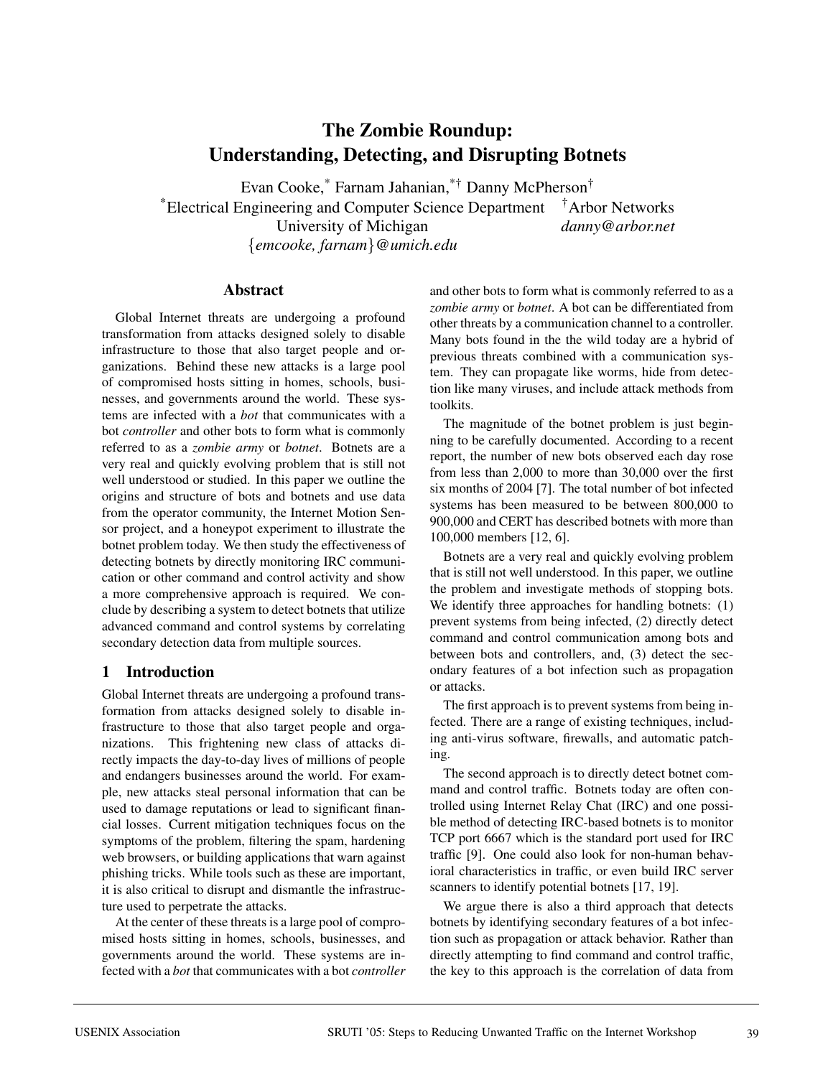# **The Zombie Roundup: Understanding, Detecting, and Disrupting Botnets**

Evan Cooke,\* Farnam Jahanian,\*† Danny McPherson† \*Electrical Engineering and Computer Science Department †Arbor Networks University of Michigan *danny@arbor.net* {*emcooke, farnam*}*@umich.edu*

#### **Abstract**

Global Internet threats are undergoing a profound transformation from attacks designed solely to disable infrastructure to those that also target people and organizations. Behind these new attacks is a large pool of compromised hosts sitting in homes, schools, businesses, and governments around the world. These systems are infected with a *bot* that communicates with a bot *controller* and other bots to form what is commonly referred to as a *zombie army* or *botnet*. Botnets are a very real and quickly evolving problem that is still not well understood or studied. In this paper we outline the origins and structure of bots and botnets and use data from the operator community, the Internet Motion Sensor project, and a honeypot experiment to illustrate the botnet problem today. We then study the effectiveness of detecting botnets by directly monitoring IRC communication or other command and control activity and show a more comprehensive approach is required. We conclude by describing a system to detect botnets that utilize advanced command and control systems by correlating secondary detection data from multiple sources.

### **1 Introduction**

Global Internet threats are undergoing a profound transformation from attacks designed solely to disable infrastructure to those that also target people and organizations. This frightening new class of attacks directly impacts the day-to-day lives of millions of people and endangers businesses around the world. For example, new attacks steal personal information that can be used to damage reputations or lead to significant financial losses. Current mitigation techniques focus on the symptoms of the problem, filtering the spam, hardening web browsers, or building applications that warn against phishing tricks. While tools such as these are important, it is also critical to disrupt and dismantle the infrastructure used to perpetrate the attacks.

At the center of these threats is a large pool of compromised hosts sitting in homes, schools, businesses, and governments around the world. These systems are infected with a *bot* that communicates with a bot *controller*

and other bots to form what is commonly referred to as a *zombie army* or *botnet*. A bot can be differentiated from other threats by a communication channel to a controller. Many bots found in the the wild today are a hybrid of previous threats combined with a communication system. They can propagate like worms, hide from detection like many viruses, and include attack methods from toolkits.

The magnitude of the botnet problem is just beginning to be carefully documented. According to a recent report, the number of new bots observed each day rose from less than 2,000 to more than 30,000 over the first six months of 2004 [7]. The total number of bot infected systems has been measured to be between 800,000 to 900,000 and CERT has described botnets with more than 100,000 members [12, 6].

Botnets are a very real and quickly evolving problem that is still not well understood. In this paper, we outline the problem and investigate methods of stopping bots. We identify three approaches for handling botnets: (1) prevent systems from being infected, (2) directly detect command and control communication among bots and between bots and controllers, and, (3) detect the secondary features of a bot infection such as propagation or attacks.

The first approach is to prevent systems from being infected. There are a range of existing techniques, including anti-virus software, firewalls, and automatic patching.

The second approach is to directly detect botnet command and control traffic. Botnets today are often controlled using Internet Relay Chat (IRC) and one possible method of detecting IRC-based botnets is to monitor TCP port 6667 which is the standard port used for IRC traffic [9]. One could also look for non-human behavioral characteristics in traffic, or even build IRC server scanners to identify potential botnets [17, 19].

We argue there is also a third approach that detects botnets by identifying secondary features of a bot infection such as propagation or attack behavior. Rather than directly attempting to find command and control traffic, the key to this approach is the correlation of data from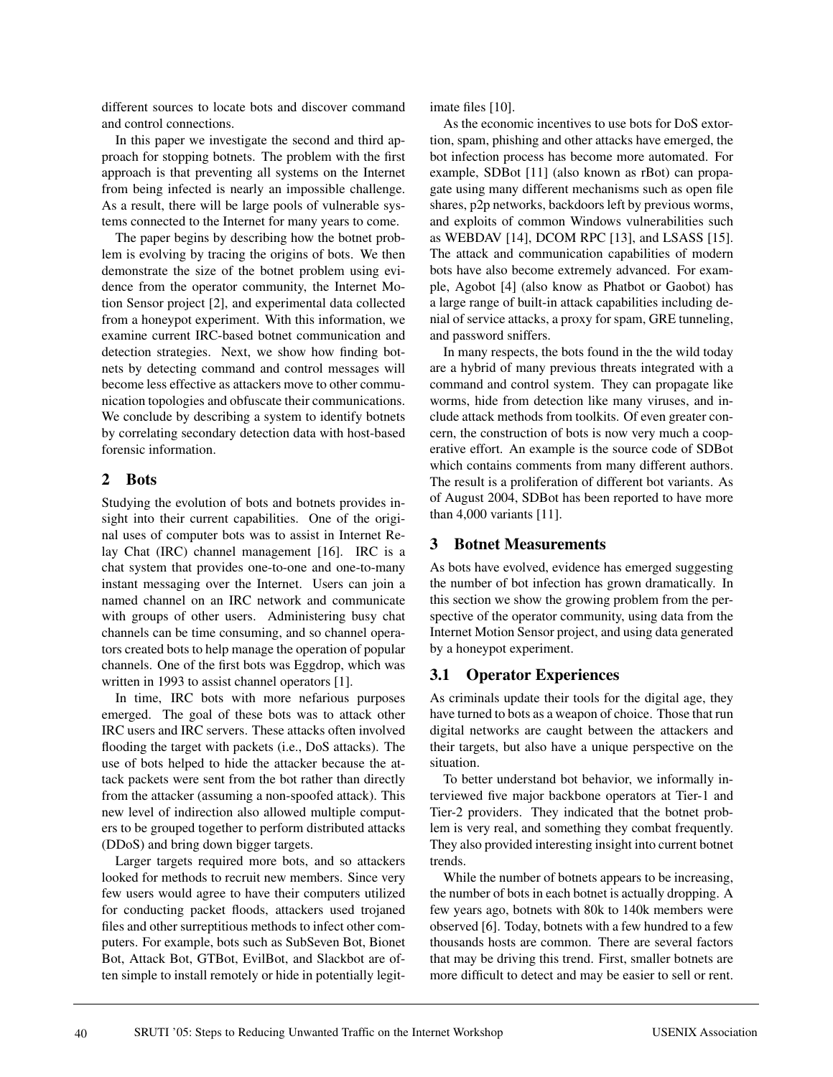different sources to locate bots and discover command and control connections.

In this paper we investigate the second and third approach for stopping botnets. The problem with the first approach is that preventing all systems on the Internet from being infected is nearly an impossible challenge. As a result, there will be large pools of vulnerable systems connected to the Internet for many years to come.

The paper begins by describing how the botnet problem is evolving by tracing the origins of bots. We then demonstrate the size of the botnet problem using evidence from the operator community, the Internet Motion Sensor project [2], and experimental data collected from a honeypot experiment. With this information, we examine current IRC-based botnet communication and detection strategies. Next, we show how finding botnets by detecting command and control messages will become less effective as attackers move to other communication topologies and obfuscate their communications. We conclude by describing a system to identify botnets by correlating secondary detection data with host-based forensic information.

#### **2 Bots**

Studying the evolution of bots and botnets provides insight into their current capabilities. One of the original uses of computer bots was to assist in Internet Relay Chat (IRC) channel management [16]. IRC is a chat system that provides one-to-one and one-to-many instant messaging over the Internet. Users can join a named channel on an IRC network and communicate with groups of other users. Administering busy chat channels can be time consuming, and so channel operators created bots to help manage the operation of popular channels. One of the first bots was Eggdrop, which was written in 1993 to assist channel operators [1].

In time, IRC bots with more nefarious purposes emerged. The goal of these bots was to attack other IRC users and IRC servers. These attacks often involved flooding the target with packets (i.e., DoS attacks). The use of bots helped to hide the attacker because the attack packets were sent from the bot rather than directly from the attacker (assuming a non-spoofed attack). This new level of indirection also allowed multiple computers to be grouped together to perform distributed attacks (DDoS) and bring down bigger targets.

Larger targets required more bots, and so attackers looked for methods to recruit new members. Since very few users would agree to have their computers utilized for conducting packet floods, attackers used trojaned files and other surreptitious methods to infect other computers. For example, bots such as SubSeven Bot, Bionet Bot, Attack Bot, GTBot, EvilBot, and Slackbot are often simple to install remotely or hide in potentially legitimate files [10].

As the economic incentives to use bots for DoS extortion, spam, phishing and other attacks have emerged, the bot infection process has become more automated. For example, SDBot [11] (also known as rBot) can propagate using many different mechanisms such as open file shares, p2p networks, backdoors left by previous worms, and exploits of common Windows vulnerabilities such as WEBDAV [14], DCOM RPC [13], and LSASS [15]. The attack and communication capabilities of modern bots have also become extremely advanced. For example, Agobot [4] (also know as Phatbot or Gaobot) has a large range of built-in attack capabilities including denial of service attacks, a proxy for spam, GRE tunneling, and password sniffers.

In many respects, the bots found in the the wild today are a hybrid of many previous threats integrated with a command and control system. They can propagate like worms, hide from detection like many viruses, and include attack methods from toolkits. Of even greater concern, the construction of bots is now very much a cooperative effort. An example is the source code of SDBot which contains comments from many different authors. The result is a proliferation of different bot variants. As of August 2004, SDBot has been reported to have more than 4,000 variants [11].

#### **3 Botnet Measurements**

As bots have evolved, evidence has emerged suggesting the number of bot infection has grown dramatically. In this section we show the growing problem from the perspective of the operator community, using data from the Internet Motion Sensor project, and using data generated by a honeypot experiment.

#### **3.1 Operator Experiences**

As criminals update their tools for the digital age, they have turned to bots as a weapon of choice. Those that run digital networks are caught between the attackers and their targets, but also have a unique perspective on the situation.

To better understand bot behavior, we informally interviewed five major backbone operators at Tier-1 and Tier-2 providers. They indicated that the botnet problem is very real, and something they combat frequently. They also provided interesting insight into current botnet trends.

While the number of botnets appears to be increasing, the number of bots in each botnet is actually dropping. A few years ago, botnets with 80k to 140k members were observed [6]. Today, botnets with a few hundred to a few thousands hosts are common. There are several factors that may be driving this trend. First, smaller botnets are more difficult to detect and may be easier to sell or rent.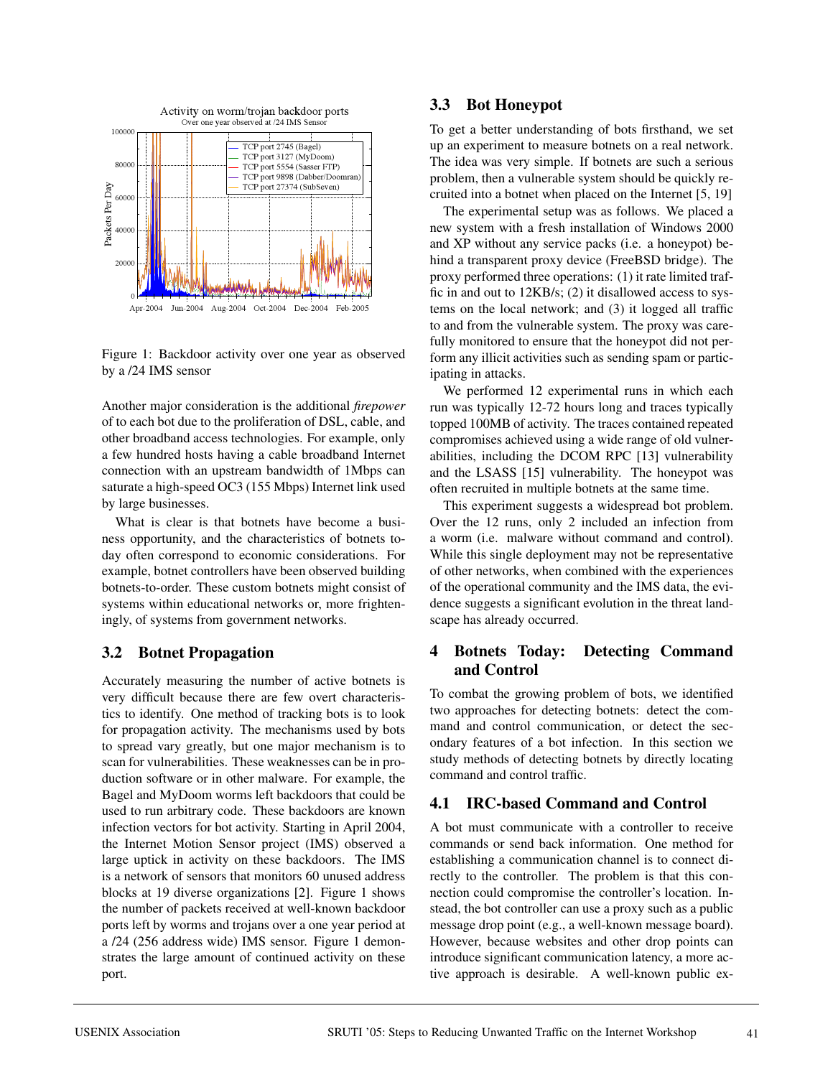

Figure 1: Backdoor activity over one year as observed by a /24 IMS sensor

Another major consideration is the additional *firepower* of to each bot due to the proliferation of DSL, cable, and other broadband access technologies. For example, only a few hundred hosts having a cable broadband Internet connection with an upstream bandwidth of 1Mbps can saturate a high-speed OC3 (155 Mbps) Internet link used by large businesses.

What is clear is that botnets have become a business opportunity, and the characteristics of botnets today often correspond to economic considerations. For example, botnet controllers have been observed building botnets-to-order. These custom botnets might consist of systems within educational networks or, more frighteningly, of systems from government networks.

### **3.2 Botnet Propagation**

Accurately measuring the number of active botnets is very difficult because there are few overt characteristics to identify. One method of tracking bots is to look for propagation activity. The mechanisms used by bots to spread vary greatly, but one major mechanism is to scan for vulnerabilities. These weaknesses can be in production software or in other malware. For example, the Bagel and MyDoom worms left backdoors that could be used to run arbitrary code. These backdoors are known infection vectors for bot activity. Starting in April 2004, the Internet Motion Sensor project (IMS) observed a large uptick in activity on these backdoors. The IMS is a network of sensors that monitors 60 unused address blocks at 19 diverse organizations [2]. Figure 1 shows the number of packets received at well-known backdoor ports left by worms and trojans over a one year period at a /24 (256 address wide) IMS sensor. Figure 1 demonstrates the large amount of continued activity on these port.

### **3.3 Bot Honeypot**

To get a better understanding of bots firsthand, we set up an experiment to measure botnets on a real network. The idea was very simple. If botnets are such a serious problem, then a vulnerable system should be quickly recruited into a botnet when placed on the Internet [5, 19]

The experimental setup was as follows. We placed a new system with a fresh installation of Windows 2000 and XP without any service packs (i.e. a honeypot) behind a transparent proxy device (FreeBSD bridge). The proxy performed three operations: (1) it rate limited traffic in and out to 12KB/s; (2) it disallowed access to systems on the local network; and (3) it logged all traffic to and from the vulnerable system. The proxy was carefully monitored to ensure that the honeypot did not perform any illicit activities such as sending spam or participating in attacks.

We performed 12 experimental runs in which each run was typically 12-72 hours long and traces typically topped 100MB of activity. The traces contained repeated compromises achieved using a wide range of old vulnerabilities, including the DCOM RPC [13] vulnerability and the LSASS [15] vulnerability. The honeypot was often recruited in multiple botnets at the same time.

This experiment suggests a widespread bot problem. Over the 12 runs, only 2 included an infection from a worm (i.e. malware without command and control). While this single deployment may not be representative of other networks, when combined with the experiences of the operational community and the IMS data, the evidence suggests a significant evolution in the threat landscape has already occurred.

### **4 Botnets Today: Detecting Command and Control**

To combat the growing problem of bots, we identified two approaches for detecting botnets: detect the command and control communication, or detect the secondary features of a bot infection. In this section we study methods of detecting botnets by directly locating command and control traffic.

### **4.1 IRC-based Command and Control**

A bot must communicate with a controller to receive commands or send back information. One method for establishing a communication channel is to connect directly to the controller. The problem is that this connection could compromise the controller's location. Instead, the bot controller can use a proxy such as a public message drop point (e.g., a well-known message board). However, because websites and other drop points can introduce significant communication latency, a more active approach is desirable. A well-known public ex-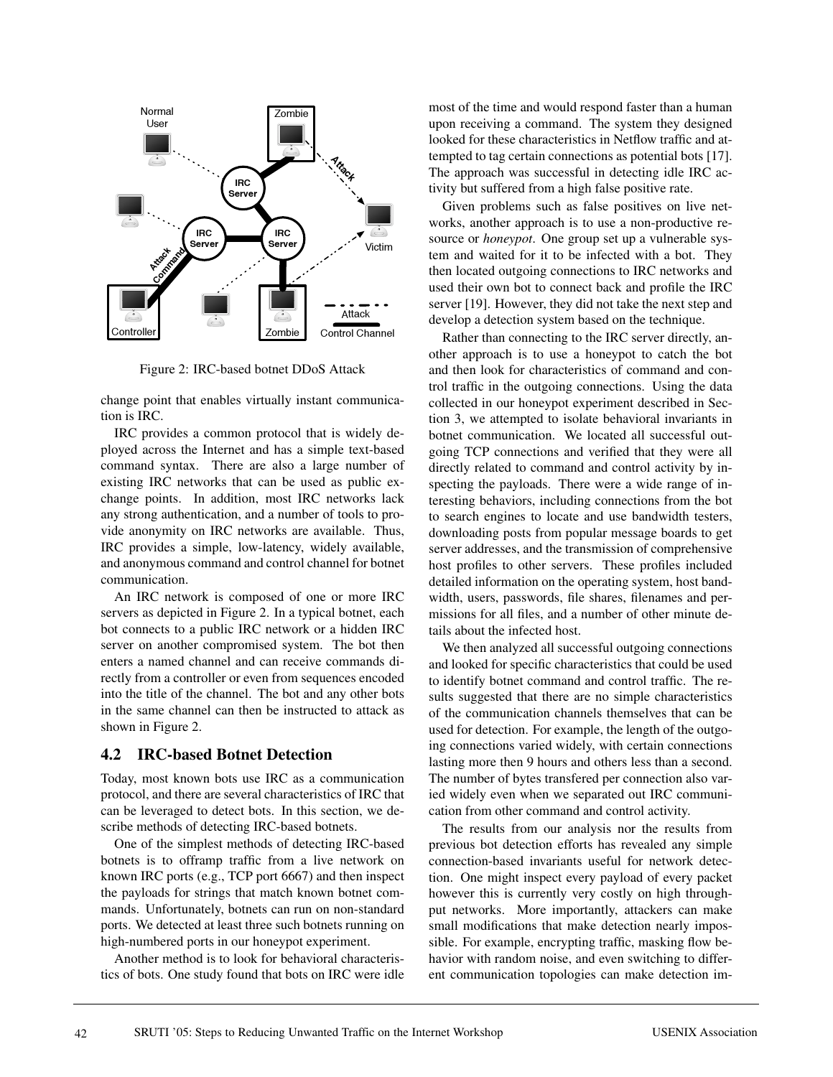

Figure 2: IRC-based botnet DDoS Attack

change point that enables virtually instant communication is IRC.

IRC provides a common protocol that is widely deployed across the Internet and has a simple text-based command syntax. There are also a large number of existing IRC networks that can be used as public exchange points. In addition, most IRC networks lack any strong authentication, and a number of tools to provide anonymity on IRC networks are available. Thus, IRC provides a simple, low-latency, widely available, and anonymous command and control channel for botnet communication.

An IRC network is composed of one or more IRC servers as depicted in Figure 2. In a typical botnet, each bot connects to a public IRC network or a hidden IRC server on another compromised system. The bot then enters a named channel and can receive commands directly from a controller or even from sequences encoded into the title of the channel. The bot and any other bots in the same channel can then be instructed to attack as shown in Figure 2.

### **4.2 IRC-based Botnet Detection**

Today, most known bots use IRC as a communication protocol, and there are several characteristics of IRC that can be leveraged to detect bots. In this section, we describe methods of detecting IRC-based botnets.

One of the simplest methods of detecting IRC-based botnets is to offramp traffic from a live network on known IRC ports (e.g., TCP port 6667) and then inspect the payloads for strings that match known botnet commands. Unfortunately, botnets can run on non-standard ports. We detected at least three such botnets running on high-numbered ports in our honeypot experiment.

Another method is to look for behavioral characteristics of bots. One study found that bots on IRC were idle most of the time and would respond faster than a human upon receiving a command. The system they designed looked for these characteristics in Netflow traffic and attempted to tag certain connections as potential bots [17]. The approach was successful in detecting idle IRC activity but suffered from a high false positive rate.

Given problems such as false positives on live networks, another approach is to use a non-productive resource or *honeypot*. One group set up a vulnerable system and waited for it to be infected with a bot. They then located outgoing connections to IRC networks and used their own bot to connect back and profile the IRC server [19]. However, they did not take the next step and develop a detection system based on the technique.

Rather than connecting to the IRC server directly, another approach is to use a honeypot to catch the bot and then look for characteristics of command and control traffic in the outgoing connections. Using the data collected in our honeypot experiment described in Section 3, we attempted to isolate behavioral invariants in botnet communication. We located all successful outgoing TCP connections and verified that they were all directly related to command and control activity by inspecting the payloads. There were a wide range of interesting behaviors, including connections from the bot to search engines to locate and use bandwidth testers, downloading posts from popular message boards to get server addresses, and the transmission of comprehensive host profiles to other servers. These profiles included detailed information on the operating system, host bandwidth, users, passwords, file shares, filenames and permissions for all files, and a number of other minute details about the infected host.

We then analyzed all successful outgoing connections and looked for specific characteristics that could be used to identify botnet command and control traffic. The results suggested that there are no simple characteristics of the communication channels themselves that can be used for detection. For example, the length of the outgoing connections varied widely, with certain connections lasting more then 9 hours and others less than a second. The number of bytes transfered per connection also varied widely even when we separated out IRC communication from other command and control activity.

The results from our analysis nor the results from previous bot detection efforts has revealed any simple connection-based invariants useful for network detection. One might inspect every payload of every packet however this is currently very costly on high throughput networks. More importantly, attackers can make small modifications that make detection nearly impossible. For example, encrypting traffic, masking flow behavior with random noise, and even switching to different communication topologies can make detection im-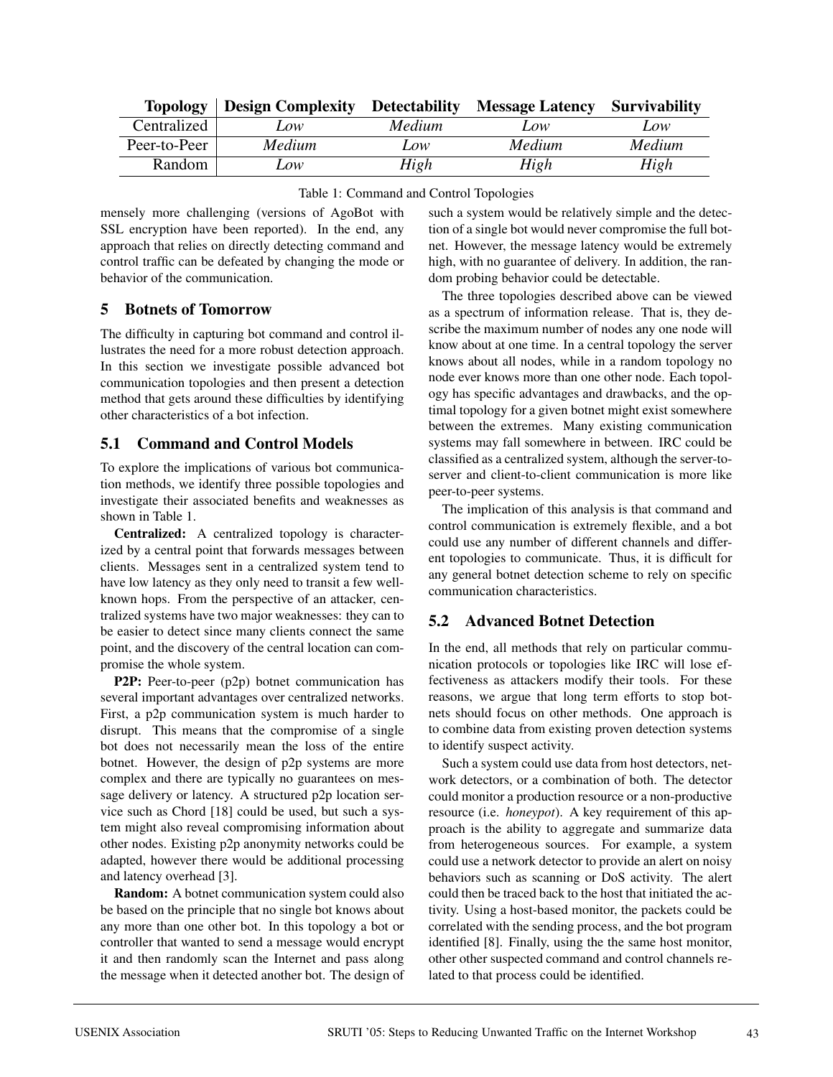| <b>Topology</b> | <b>Design Complexity Detectability</b> |               | <b>Message Latency</b> | <b>Survivability</b> |
|-----------------|----------------------------------------|---------------|------------------------|----------------------|
| Centralized     | LOW                                    | <i>Medium</i> | Low                    | Low                  |
| Peer-to-Peer    | Medium                                 | LOW           | <b>Medium</b>          | Medium               |
| Random          | Low                                    | High          | High                   | High                 |

|  | Table 1: Command and Control Topologies |  |  |
|--|-----------------------------------------|--|--|
|  |                                         |  |  |

mensely more challenging (versions of AgoBot with SSL encryption have been reported). In the end, any approach that relies on directly detecting command and control traffic can be defeated by changing the mode or behavior of the communication.

### **5 Botnets of Tomorrow**

The difficulty in capturing bot command and control illustrates the need for a more robust detection approach. In this section we investigate possible advanced bot communication topologies and then present a detection method that gets around these difficulties by identifying other characteristics of a bot infection.

#### **5.1 Command and Control Models**

To explore the implications of various bot communication methods, we identify three possible topologies and investigate their associated benefits and weaknesses as shown in Table 1.

**Centralized:** A centralized topology is characterized by a central point that forwards messages between clients. Messages sent in a centralized system tend to have low latency as they only need to transit a few wellknown hops. From the perspective of an attacker, centralized systems have two major weaknesses: they can to be easier to detect since many clients connect the same point, and the discovery of the central location can compromise the whole system.

**P2P:** Peer-to-peer (p2p) botnet communication has several important advantages over centralized networks. First, a p2p communication system is much harder to disrupt. This means that the compromise of a single bot does not necessarily mean the loss of the entire botnet. However, the design of p2p systems are more complex and there are typically no guarantees on message delivery or latency. A structured p2p location service such as Chord [18] could be used, but such a system might also reveal compromising information about other nodes. Existing p2p anonymity networks could be adapted, however there would be additional processing and latency overhead [3].

**Random:** A botnet communication system could also be based on the principle that no single bot knows about any more than one other bot. In this topology a bot or controller that wanted to send a message would encrypt it and then randomly scan the Internet and pass along the message when it detected another bot. The design of such a system would be relatively simple and the detection of a single bot would never compromise the full botnet. However, the message latency would be extremely high, with no guarantee of delivery. In addition, the random probing behavior could be detectable.

The three topologies described above can be viewed as a spectrum of information release. That is, they describe the maximum number of nodes any one node will know about at one time. In a central topology the server knows about all nodes, while in a random topology no node ever knows more than one other node. Each topology has specific advantages and drawbacks, and the optimal topology for a given botnet might exist somewhere between the extremes. Many existing communication systems may fall somewhere in between. IRC could be classified as a centralized system, although the server-toserver and client-to-client communication is more like peer-to-peer systems.

The implication of this analysis is that command and control communication is extremely flexible, and a bot could use any number of different channels and different topologies to communicate. Thus, it is difficult for any general botnet detection scheme to rely on specific communication characteristics.

## **5.2 Advanced Botnet Detection**

In the end, all methods that rely on particular communication protocols or topologies like IRC will lose effectiveness as attackers modify their tools. For these reasons, we argue that long term efforts to stop botnets should focus on other methods. One approach is to combine data from existing proven detection systems to identify suspect activity.

Such a system could use data from host detectors, network detectors, or a combination of both. The detector could monitor a production resource or a non-productive resource (i.e. *honeypot*). A key requirement of this approach is the ability to aggregate and summarize data from heterogeneous sources. For example, a system could use a network detector to provide an alert on noisy behaviors such as scanning or DoS activity. The alert could then be traced back to the host that initiated the activity. Using a host-based monitor, the packets could be correlated with the sending process, and the bot program identified [8]. Finally, using the the same host monitor, other other suspected command and control channels related to that process could be identified.